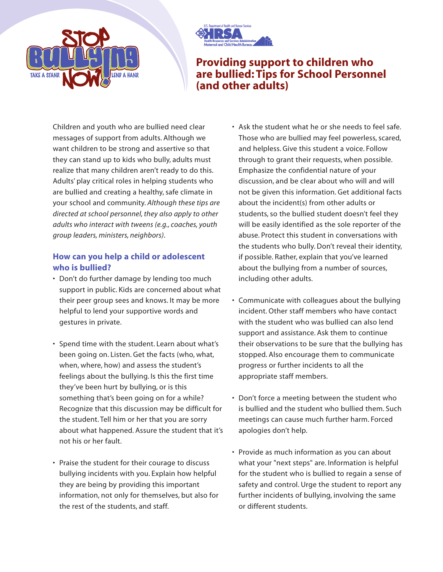



## **Providing support to children who are bullied: Tips for School Personnel (and other adults)**

Children and youth who are bullied need clear messages of support from adults. Although we want children to be strong and assertive so that they can stand up to kids who bully, adults must realize that many children aren't ready to do this. Adults' play critical roles in helping students who are bullied and creating a healthy, safe climate in your school and community. *Although these tips are directed at school personnel, they also apply to other adults who interact with tweens (e.g., coaches, youth group leaders, ministers, neighbors)*.

## **How can you help a child or adolescent who is bullied?**

- Don't do further damage by lending too much support in public. Kids are concerned about what their peer group sees and knows. It may be more helpful to lend your supportive words and gestures in private.
- Spend time with the student. Learn about what's been going on. Listen. Get the facts (who, what, when, where, how) and assess the student's feelings about the bullying. Is this the first time they've been hurt by bullying, or is this something that's been going on for a while? Recognize that this discussion may be difficult for the student. Tell him or her that you are sorry about what happened. Assure the student that it's not his or her fault.
- Praise the student for their courage to discuss bullying incidents with you. Explain how helpful they are being by providing this important information, not only for themselves, but also for the rest of the students, and staff.
- Ask the student what he or she needs to feel safe. Those who are bullied may feel powerless, scared, and helpless. Give this student a voice. Follow through to grant their requests, when possible. Emphasize the confidential nature of your discussion, and be clear about who will and will not be given this information. Get additional facts about the incident(s) from other adults or students, so the bullied student doesn't feel they will be easily identified as the sole reporter of the abuse. Protect this student in conversations with the students who bully. Don't reveal their identity, if possible. Rather, explain that you've learned about the bullying from a number of sources, including other adults.
- Communicate with colleagues about the bullying incident. Other staff members who have contact with the student who was bullied can also lend support and assistance. Ask them to continue their observations to be sure that the bullying has stopped. Also encourage them to communicate progress or further incidents to all the appropriate staff members.
- Don't force a meeting between the student who is bullied and the student who bullied them. Such meetings can cause much further harm. Forced apologies don't help.
- Provide as much information as you can about what your "next steps" are. Information is helpful for the student who is bullied to regain a sense of safety and control. Urge the student to report any further incidents of bullying, involving the same or different students.